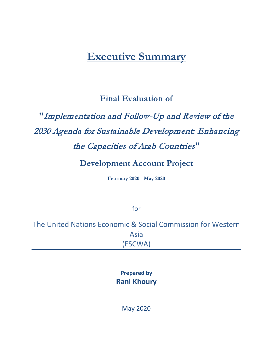## **Executive Summary**

## **Final Evaluation of**

# **"**Implementation and Follow-Up and Review of the 2030 Agenda for Sustainable Development: Enhancing the Capacities of Arab Countries**"**

### **Development Account Project**

**February 2020 - May 2020**

for

The United Nations Economic & Social Commission for Western Asia (ESCWA)

> **Prepared by Rani Khoury**

> > May 2020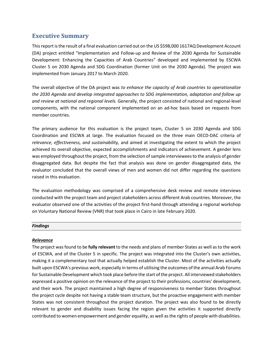#### **Executive Summary**

This report is the result of a final evaluation carried out on the US \$598,000 1617AQ Development Account (DA) project entitled "Implementation and Follow-up and Review of the 2030 Agenda for Sustainable Development: Enhancing the Capacities of Arab Countries" developed and implemented by ESCWA Cluster 5 on 2030 Agenda and SDG Coordination (former Unit on the 2030 Agenda). The project was implemented from January 2017 to March 2020.

The overall objective of the DA project was *to enhance the capacity of Arab countries to operationalize the 2030 Agenda and develop integrated approaches to SDG implementation, adaptation and follow up and review at national and regional levels.* Generally, the project consisted of national and regional-level components, with the national component implemented on an ad-hoc basis based on requests from member countries.

The primary audience for this evaluation is the project team, Cluster 5 on 2030 Agenda and SDG Coordination and ESCWA at large. The evaluation focused on the three main OECD-DAC criteria of *relevance, effectiveness, and sustainability,* and aimed at investigating the extent to which the project achieved its overall objective, expected accomplishments and indicators of achievement. A gender lens was employed throughout the project, from the selection of sample interviewees to the analysis of gender disaggregated data. But despite the fact that analysis was done on gender disaggregated data, the evaluator concluded that the overall views of men and women did not differ regarding the questions raised in this evaluation.

The evaluation methodology was comprised of a comprehensive desk review and remote interviews conducted with the project team and project stakeholders across different Arab countries. Moreover, the evaluator observed one of the activities of the project first-hand through attending a regional workshop on Voluntary National Review (VNR) that took place in Cairo in late February 2020.

#### *Findings*

#### *Relevance*

The project was found to be **fully relevant** to the needs and plans of member States as well as to the work of ESCWA, and of the Cluster 5 in specific. The project was integrated into the Cluster's own activities, making it a complementary tool that actually helped establish the Cluster. Most of the activities actually built upon ESCWA's previous work, especially in terms of utilising the outcomes of the annual Arab Forums for Sustainable Development which took place before the start of the project. All interviewed stakeholders expressed a positive opinion on the relevance of the project to their professions, countries' development, and their work. The project maintained a high degree of responsiveness to member States throughout the project cycle despite not having a stable team structure, but the proactive engagement with member States was not consistent throughout the project duration. The project was also found to be directly relevant to gender and disability issues facing the region given the activities it supported directly contributed to women empowerment and gender equality, as well as the rights of people with disabilities.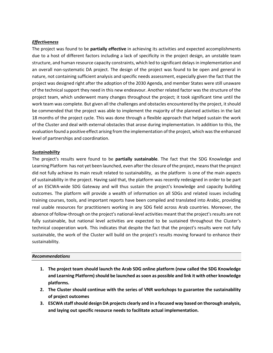#### *Effectiveness*

The project was found to be **partially effective** in achieving its activities and expected accomplishments due to a host of different factors including a lack of specificity in the project design, an unstable team structure, and human resource capacity constraints, which led to significant delays in implementation and an overall non-systematic DA project. The design of the project was found to be open and general in nature, not containing sufficient analysis and specific needs assessment, especially given the fact that the project was designed right after the adoption of the 2030 Agenda, and member States were still unaware of the technical support they need in this new endeavour. Another related factor was the structure of the project team, which underwent many changes throughout the project; it took significant time until the work team was complete. But given all the challenges and obstacles encountered by the project, it should be commended that the project was able to implement the majority of the planned activities in the last 18 months of the project cycle. This was done through a flexible approach that helped sustain the work of the Cluster and deal with external obstacles that arose during implementation. In addition to this, the evaluation found a positive effect arising from the implementation of the project, which was the enhanced level of partnerships and coordination.

#### *Sustainability*

The project's results were found to be **partially sustainable**. The fact that the SDG Knowledge and Learning Platform has not yet been launched, even after the closure of the project, means that the project did not fully achieve its main result related to sustainability, as the platform is one of the main aspects of sustainability in the project. Having said that, the platform was recently redesigned in order to be part of an ESCWA-wide SDG Gateway and will thus sustain the project's knowledge and capacity building outcomes. The platform will provide a wealth of information on all SDGs and related issues including training courses, tools, and important reports have been compiled and translated into Arabic, providing real usable resources for practitioners working in any SDG field across Arab countries. Moreover, the absence of follow-through on the project's national-level activities meant that the project's results are not fully sustainable, but national level activities are expected to be sustained throughout the Cluster's technical cooperation work. This indicates that despite the fact that the project's results were not fully sustainable, the work of the Cluster will build on the project's results moving forward to enhance their sustainability.

#### *Recommendations*

- **1. The project team should launch the Arab SDG online platform (now called the SDG Knowledge**  and Learning Platform) should be launched as soon as possible and link it with other knowledge **platforms.**
- **2. The Cluster should continue with the series of VNR workshops to guarantee the sustainability of project outcomes**
- **3. ESCWA staffshould design DA projects clearly and in a focused way based on thorough analysis, and laying out specific resource needs to facilitate actual implementation.**